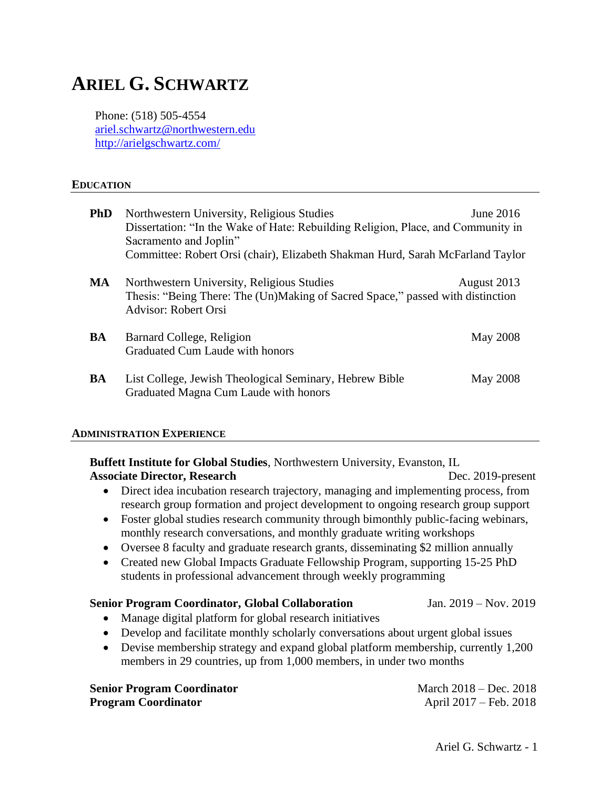# **ARIEL G. SCHWARTZ**

Phone: (518) 505-4554 [ariel.schwartz@northwestern.edu](mailto:ariel.schwartz@northwestern.edu) <http://arielgschwartz.com/>

#### **EDUCATION**

| <b>PhD</b> | Northwestern University, Religious Studies                                                                                                                                 | June 2016       |
|------------|----------------------------------------------------------------------------------------------------------------------------------------------------------------------------|-----------------|
|            | Dissertation: "In the Wake of Hate: Rebuilding Religion, Place, and Community in                                                                                           |                 |
|            | Sacramento and Joplin"                                                                                                                                                     |                 |
|            | Committee: Robert Orsi (chair), Elizabeth Shakman Hurd, Sarah McFarland Taylor                                                                                             |                 |
| MA         | Northwestern University, Religious Studies<br>August 2013<br>Thesis: "Being There: The (Un)Making of Sacred Space," passed with distinction<br><b>Advisor: Robert Orsi</b> |                 |
| BA         | Barnard College, Religion<br>Graduated Cum Laude with honors                                                                                                               | <b>May 2008</b> |
| BA         | List College, Jewish Theological Seminary, Hebrew Bible<br>Graduated Magna Cum Laude with honors                                                                           | May 2008        |

#### **ADMINISTRATION EXPERIENCE**

**Buffett Institute for Global Studies**, Northwestern University, Evanston, IL Associate Director, Research **Dec. 2019-present** • Direct idea incubation research trajectory, managing and implementing process, from research group formation and project development to ongoing research group support • Foster global studies research community through bimonthly public-facing webinars, monthly research conversations, and monthly graduate writing workshops • Oversee 8 faculty and graduate research grants, disseminating \$2 million annually • Created new Global Impacts Graduate Fellowship Program, supporting 15-25 PhD students in professional advancement through weekly programming **Senior Program Coordinator, Global Collaboration** Jan. 2019 – Nov. 2019 • Manage digital platform for global research initiatives • Develop and facilitate monthly scholarly conversations about urgent global issues • Devise membership strategy and expand global platform membership, currently 1,200 members in 29 countries, up from 1,000 members, in under two months

| <b>Senior Program Coordinator</b> | March 2018 – Dec. 2018 |
|-----------------------------------|------------------------|
| <b>Program Coordinator</b>        | April 2017 – Feb. 2018 |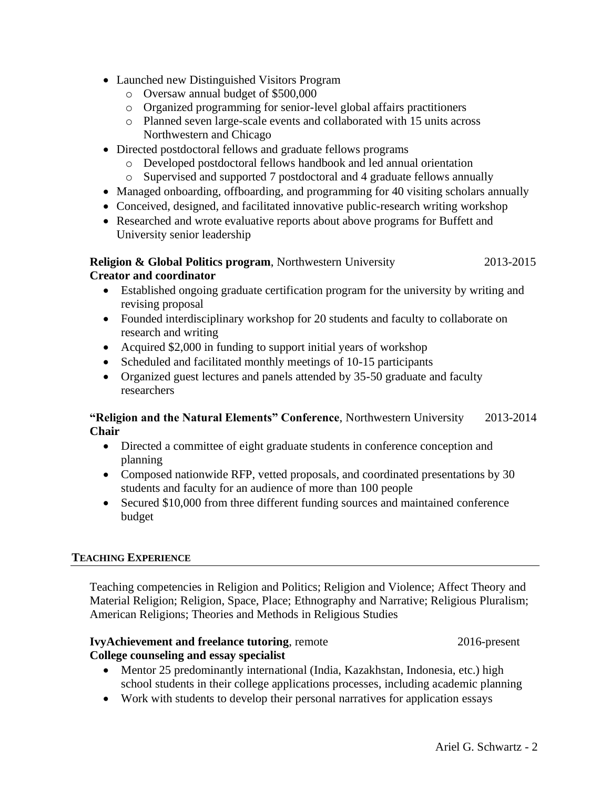- Launched new Distinguished Visitors Program
	- o Oversaw annual budget of \$500,000
	- o Organized programming for senior-level global affairs practitioners
	- o Planned seven large-scale events and collaborated with 15 units across Northwestern and Chicago
- Directed postdoctoral fellows and graduate fellows programs
	- o Developed postdoctoral fellows handbook and led annual orientation
	- o Supervised and supported 7 postdoctoral and 4 graduate fellows annually
- Managed onboarding, offboarding, and programming for 40 visiting scholars annually
- Conceived, designed, and facilitated innovative public-research writing workshop
- Researched and wrote evaluative reports about above programs for Buffett and University senior leadership

## **Religion & Global Politics program**, Northwestern University 2013-2015 **Creator and coordinator**

- Established ongoing graduate certification program for the university by writing and revising proposal
- Founded interdisciplinary workshop for 20 students and faculty to collaborate on research and writing
- Acquired \$2,000 in funding to support initial years of workshop
- Scheduled and facilitated monthly meetings of 10-15 participants
- Organized guest lectures and panels attended by 35-50 graduate and faculty researchers

# **"Religion and the Natural Elements" Conference**, Northwestern University 2013-2014 **Chair**

- Directed a committee of eight graduate students in conference conception and planning
- Composed nationwide RFP, vetted proposals, and coordinated presentations by 30 students and faculty for an audience of more than 100 people
- Secured \$10,000 from three different funding sources and maintained conference budget

# **TEACHING EXPERIENCE**

Teaching competencies in Religion and Politics; Religion and Violence; Affect Theory and Material Religion; Religion, Space, Place; Ethnography and Narrative; Religious Pluralism; American Religions; Theories and Methods in Religious Studies

# **IvyAchievement and freelance tutoring**, remote 2016-present **College counseling and essay specialist**

- Mentor 25 predominantly international (India, Kazakhstan, Indonesia, etc.) high school students in their college applications processes, including academic planning
- Work with students to develop their personal narratives for application essays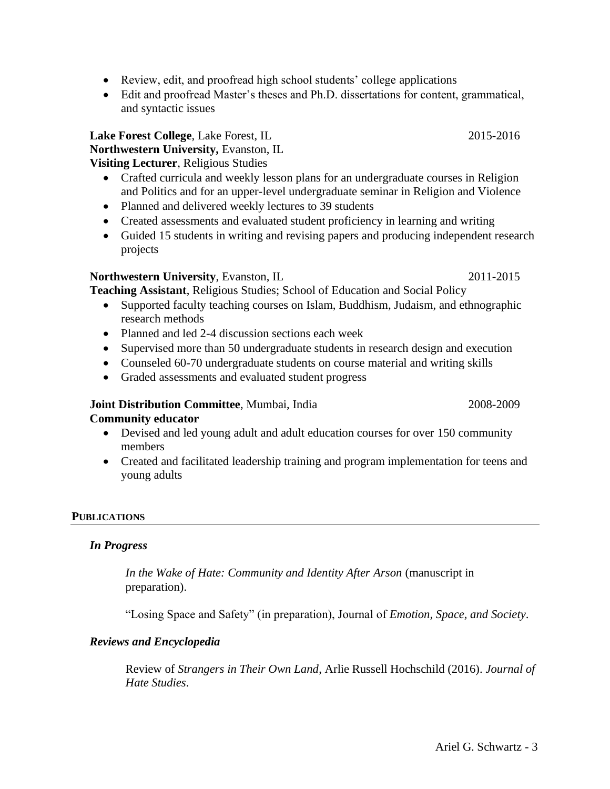- Review, edit, and proofread high school students' college applications
- Edit and proofread Master's theses and Ph.D. dissertations for content, grammatical, and syntactic issues

**Lake Forest College**, Lake Forest, IL 2015-2016 **Northwestern University,** Evanston, IL **Visiting Lecturer**, Religious Studies

- Crafted curricula and weekly lesson plans for an undergraduate courses in Religion and Politics and for an upper-level undergraduate seminar in Religion and Violence
- Planned and delivered weekly lectures to 39 students
- Created assessments and evaluated student proficiency in learning and writing
- Guided 15 students in writing and revising papers and producing independent research projects

# **Northwestern University**, Evanston, IL 2011-2015

**Teaching Assistant**, Religious Studies; School of Education and Social Policy

- Supported faculty teaching courses on Islam, Buddhism, Judaism, and ethnographic research methods
- Planned and led 2-4 discussion sections each week
- Supervised more than 50 undergraduate students in research design and execution
- Counseled 60-70 undergraduate students on course material and writing skills
- Graded assessments and evaluated student progress

#### **Joint Distribution Committee**, Mumbai, India 2008-2009 2008-2009 **Community educator**

- Devised and led young adult and adult education courses for over 150 community members
- Created and facilitated leadership training and program implementation for teens and young adults

# **PUBLICATIONS**

# *In Progress*

*In the Wake of Hate: Community and Identity After Arson* (manuscript in preparation).

"Losing Space and Safety" (in preparation), Journal of *Emotion, Space, and Society*.

# *Reviews and Encyclopedia*

Review of *Strangers in Their Own Land*, Arlie Russell Hochschild (2016). *Journal of Hate Studies*.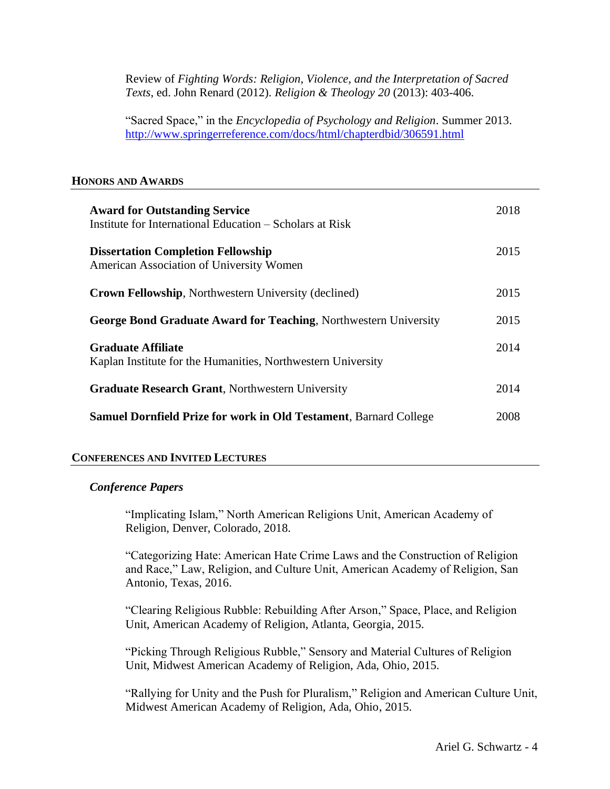Review of *Fighting Words: Religion, Violence, and the Interpretation of Sacred Texts*, ed. John Renard (2012). *Religion & Theology 20* (2013): 403-406.

"Sacred Space," in the *Encyclopedia of Psychology and Religion*. Summer 2013. <http://www.springerreference.com/docs/html/chapterdbid/306591.html>

## **HONORS AND AWARDS**

| <b>Award for Outstanding Service</b><br>Institute for International Education – Scholars at Risk | 2018 |
|--------------------------------------------------------------------------------------------------|------|
| <b>Dissertation Completion Fellowship</b><br>American Association of University Women            | 2015 |
| <b>Crown Fellowship, Northwestern University (declined)</b>                                      | 2015 |
| <b>George Bond Graduate Award for Teaching, Northwestern University</b>                          | 2015 |
| <b>Graduate Affiliate</b><br>Kaplan Institute for the Humanities, Northwestern University        | 2014 |
| <b>Graduate Research Grant, Northwestern University</b>                                          | 2014 |
| <b>Samuel Dornfield Prize for work in Old Testament, Barnard College</b>                         | 2008 |

## **CONFERENCES AND INVITED LECTURES**

#### *Conference Papers*

"Implicating Islam," North American Religions Unit, American Academy of Religion, Denver, Colorado, 2018.

"Categorizing Hate: American Hate Crime Laws and the Construction of Religion and Race," Law, Religion, and Culture Unit, American Academy of Religion, San Antonio, Texas, 2016.

"Clearing Religious Rubble: Rebuilding After Arson," Space, Place, and Religion Unit, American Academy of Religion, Atlanta, Georgia, 2015.

"Picking Through Religious Rubble," Sensory and Material Cultures of Religion Unit, Midwest American Academy of Religion, Ada, Ohio, 2015.

"Rallying for Unity and the Push for Pluralism," Religion and American Culture Unit, Midwest American Academy of Religion, Ada, Ohio, 2015.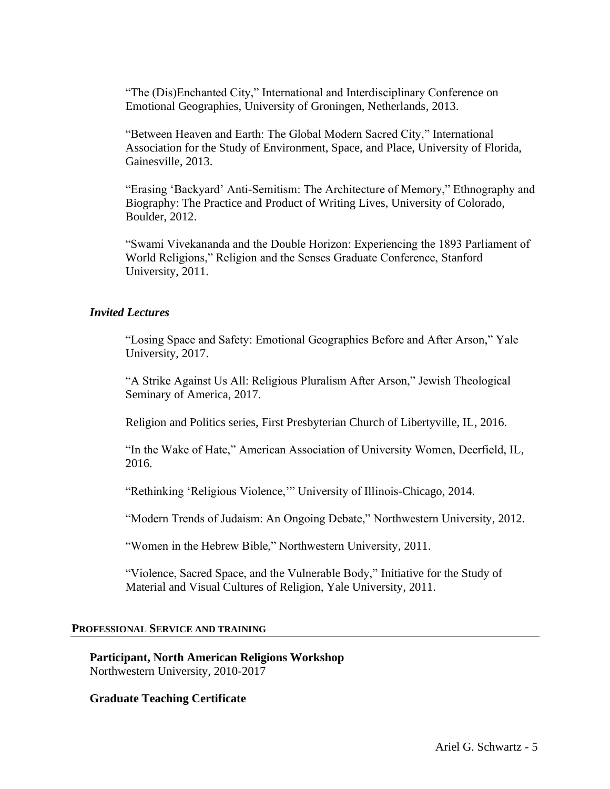"The (Dis)Enchanted City," International and Interdisciplinary Conference on Emotional Geographies, University of Groningen, Netherlands, 2013.

"Between Heaven and Earth: The Global Modern Sacred City," International Association for the Study of Environment, Space, and Place, University of Florida, Gainesville, 2013.

"Erasing 'Backyard' Anti-Semitism: The Architecture of Memory," Ethnography and Biography: The Practice and Product of Writing Lives, University of Colorado, Boulder, 2012.

"Swami Vivekananda and the Double Horizon: Experiencing the 1893 Parliament of World Religions," Religion and the Senses Graduate Conference, Stanford University, 2011.

## *Invited Lectures*

"Losing Space and Safety: Emotional Geographies Before and After Arson," Yale University, 2017.

"A Strike Against Us All: Religious Pluralism After Arson," Jewish Theological Seminary of America, 2017.

Religion and Politics series, First Presbyterian Church of Libertyville, IL, 2016.

"In the Wake of Hate," American Association of University Women, Deerfield, IL, 2016.

"Rethinking 'Religious Violence,'" University of Illinois-Chicago, 2014.

"Modern Trends of Judaism: An Ongoing Debate," Northwestern University, 2012.

"Women in the Hebrew Bible," Northwestern University, 2011.

"Violence, Sacred Space, and the Vulnerable Body," Initiative for the Study of Material and Visual Cultures of Religion, Yale University, 2011.

#### **PROFESSIONAL SERVICE AND TRAINING**

**Participant, North American Religions Workshop**  Northwestern University, 2010-2017

**Graduate Teaching Certificate**